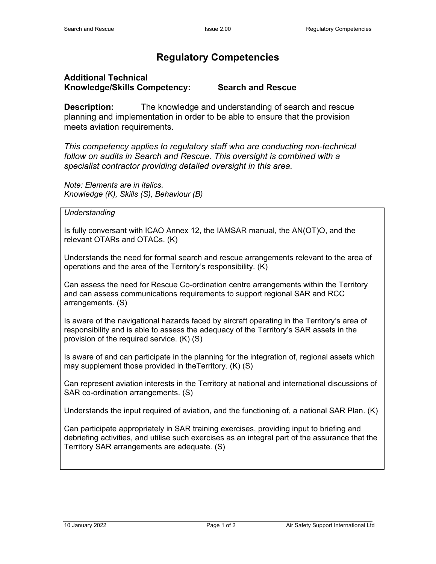## **Regulatory Competencies**

## **Additional Technical Knowledge/Skills Competency: Search and Rescue**

**Description:** The knowledge and understanding of search and rescue planning and implementation in order to be able to ensure that the provision meets aviation requirements.

*This competency applies to regulatory staff who are conducting non-technical follow on audits in Search and Rescue. This oversight is combined with a specialist contractor providing detailed oversight in this area.*

*Note: Elements are in italics. Knowledge (K), Skills (S), Behaviour (B)*

## *Understanding*

Is fully conversant with ICAO Annex 12, the IAMSAR manual, the AN(OT)O, and the relevant OTARs and OTACs. (K)

Understands the need for formal search and rescue arrangements relevant to the area of operations and the area of the Territory's responsibility. (K)

Can assess the need for Rescue Co-ordination centre arrangements within the Territory and can assess communications requirements to support regional SAR and RCC arrangements. (S)

Is aware of the navigational hazards faced by aircraft operating in the Territory's area of responsibility and is able to assess the adequacy of the Territory's SAR assets in the provision of the required service. (K) (S)

Is aware of and can participate in the planning for the integration of, regional assets which may supplement those provided in theTerritory. (K) (S)

Can represent aviation interests in the Territory at national and international discussions of SAR co-ordination arrangements. (S)

Understands the input required of aviation, and the functioning of, a national SAR Plan. (K)

Can participate appropriately in SAR training exercises, providing input to briefing and debriefing activities, and utilise such exercises as an integral part of the assurance that the Territory SAR arrangements are adequate. (S)